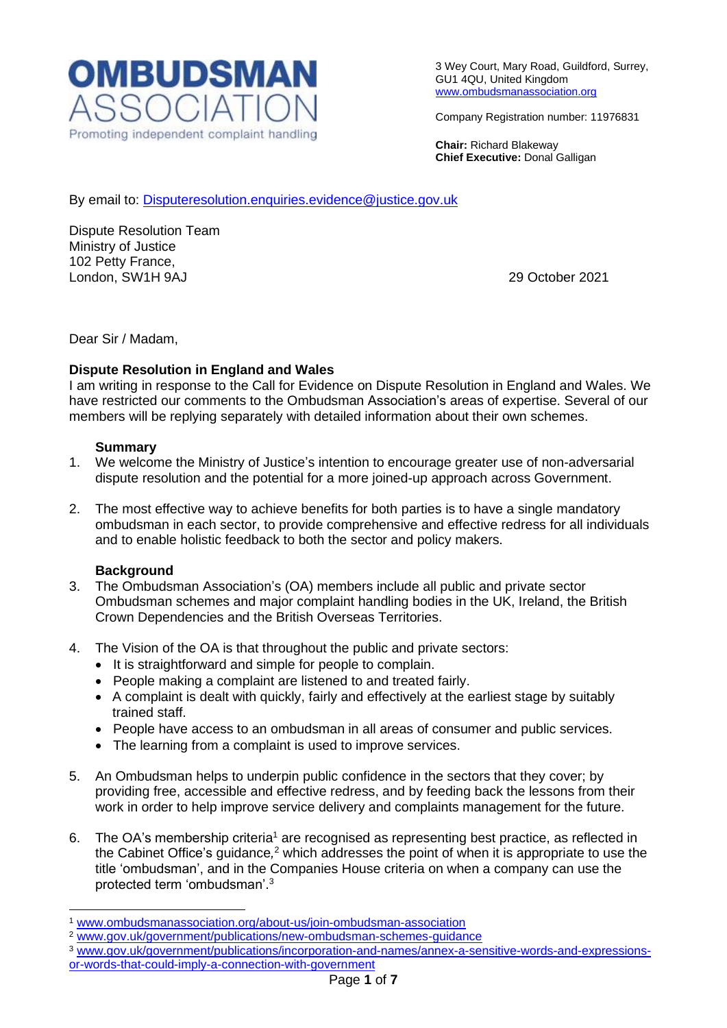

3 Wey Court, Mary Road, Guildford, Surrey, GU1 4QU, United Kingdom [www.ombudsmanassociation.org](http://www.ombudsmanassociation.org/)

Company Registration number: 11976831

**Chair:** Richard Blakeway **Chief Executive:** Donal Galligan

By email to: [Disputeresolution.enquiries.evidence@justice.gov.uk](mailto:Disputeresolution.enquiries.evidence@justice.gov.uk)

Dispute Resolution Team Ministry of Justice 102 Petty France, London, SW1H 9AJ 29 October 2021

Dear Sir / Madam,

## **Dispute Resolution in England and Wales**

I am writing in response to the Call for Evidence on Dispute Resolution in England and Wales. We have restricted our comments to the Ombudsman Association's areas of expertise. Several of our members will be replying separately with detailed information about their own schemes.

#### **Summary**

- 1. We welcome the Ministry of Justice's intention to encourage greater use of non-adversarial dispute resolution and the potential for a more joined-up approach across Government.
- 2. The most effective way to achieve benefits for both parties is to have a single mandatory ombudsman in each sector, to provide comprehensive and effective redress for all individuals and to enable holistic feedback to both the sector and policy makers.

## **Background**

- 3. The Ombudsman Association's (OA) members include all public and private sector Ombudsman schemes and major complaint handling bodies in the UK, Ireland, the British Crown Dependencies and the British Overseas Territories.
- 4. The Vision of the OA is that throughout the public and private sectors:
	- It is straightforward and simple for people to complain.
	- People making a complaint are listened to and treated fairly.
	- A complaint is dealt with quickly, fairly and effectively at the earliest stage by suitably trained staff.
	- People have access to an ombudsman in all areas of consumer and public services.
	- The learning from a complaint is used to improve services.
- 5. An Ombudsman helps to underpin public confidence in the sectors that they cover; by providing free, accessible and effective redress, and by feeding back the lessons from their work in order to help improve service delivery and complaints management for the future.
- 6. The OA's membership criteria<sup>1</sup> are recognised as representing best practice, as reflected in the Cabinet Office's guidance*,* <sup>2</sup> which addresses the point of when it is appropriate to use the title 'ombudsman', and in the Companies House criteria on when a company can use the protected term 'ombudsman'. 3

<sup>2</sup> [www.gov.uk/government/publications/new-ombudsman-schemes-guidance](http://www.gov.uk/government/publications/new-ombudsman-schemes-guidance)

<sup>1</sup> [www.ombudsmanassociation.org/about-us/join-ombudsman-association](http://www.ombudsmanassociation.org/about-us/join-ombudsman-association)

<sup>3</sup> [www.gov.uk/government/publications/incorporation-and-names/annex-a-sensitive-words-and-expressions](http://www.gov.uk/government/publications/incorporation-and-names/annex-a-sensitive-words-and-expressions-or-words-that-could-imply-a-connection-with-government)[or-words-that-could-imply-a-connection-with-government](http://www.gov.uk/government/publications/incorporation-and-names/annex-a-sensitive-words-and-expressions-or-words-that-could-imply-a-connection-with-government)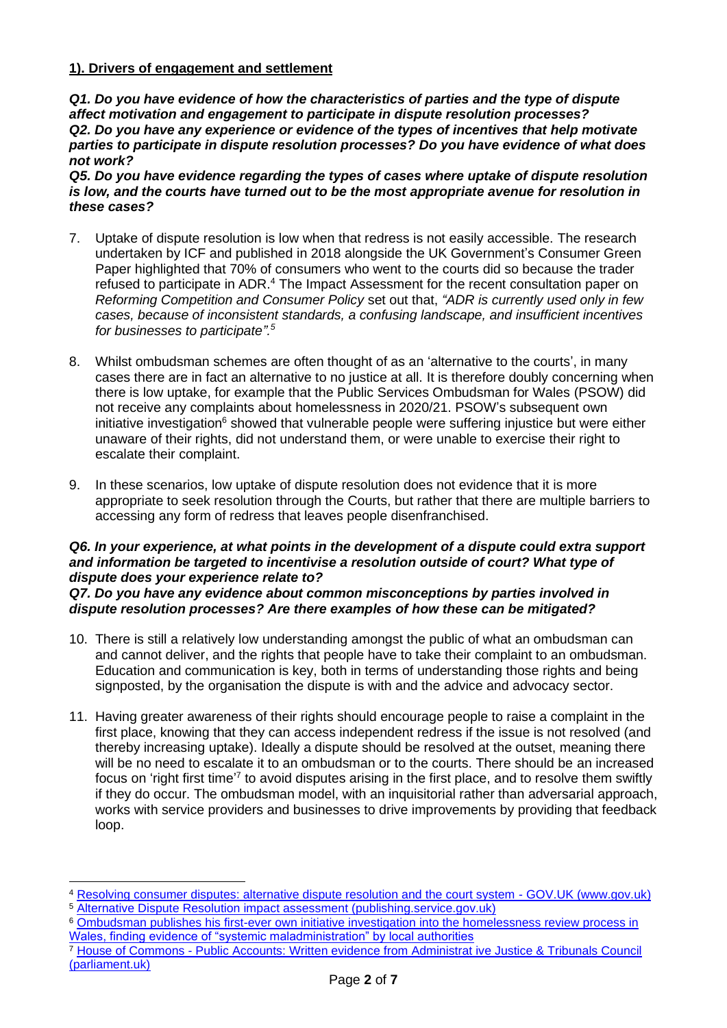# **1). Drivers of engagement and settlement**

*Q1. Do you have evidence of how the characteristics of parties and the type of dispute affect motivation and engagement to participate in dispute resolution processes? Q2. Do you have any experience or evidence of the types of incentives that help motivate parties to participate in dispute resolution processes? Do you have evidence of what does not work?* 

*Q5. Do you have evidence regarding the types of cases where uptake of dispute resolution is low, and the courts have turned out to be the most appropriate avenue for resolution in these cases?* 

- 7. Uptake of dispute resolution is low when that redress is not easily accessible. The research undertaken by ICF and published in 2018 alongside the UK Government's Consumer Green Paper highlighted that 70% of consumers who went to the courts did so because the trader refused to participate in ADR.<sup>4</sup> The Impact Assessment for the recent consultation paper on *Reforming Competition and Consumer Policy* set out that, *"ADR is currently used only in few cases, because of inconsistent standards, a confusing landscape, and insufficient incentives for businesses to participate". 5*
- 8. Whilst ombudsman schemes are often thought of as an 'alternative to the courts', in many cases there are in fact an alternative to no justice at all. It is therefore doubly concerning when there is low uptake, for example that the Public Services Ombudsman for Wales (PSOW) did not receive any complaints about homelessness in 2020/21. PSOW's subsequent own initiative investigation $6$  showed that vulnerable people were suffering injustice but were either unaware of their rights, did not understand them, or were unable to exercise their right to escalate their complaint.
- 9. In these scenarios, low uptake of dispute resolution does not evidence that it is more appropriate to seek resolution through the Courts, but rather that there are multiple barriers to accessing any form of redress that leaves people disenfranchised.

## *Q6. In your experience, at what points in the development of a dispute could extra support and information be targeted to incentivise a resolution outside of court? What type of dispute does your experience relate to?*

*Q7. Do you have any evidence about common misconceptions by parties involved in dispute resolution processes? Are there examples of how these can be mitigated?*

- 10. There is still a relatively low understanding amongst the public of what an ombudsman can and cannot deliver, and the rights that people have to take their complaint to an ombudsman. Education and communication is key, both in terms of understanding those rights and being signposted, by the organisation the dispute is with and the advice and advocacy sector.
- 11. Having greater awareness of their rights should encourage people to raise a complaint in the first place, knowing that they can access independent redress if the issue is not resolved (and thereby increasing uptake). Ideally a dispute should be resolved at the outset, meaning there will be no need to escalate it to an ombudsman or to the courts. There should be an increased focus on 'right first time<sup>'7</sup> to avoid disputes arising in the first place, and to resolve them swiftly if they do occur. The ombudsman model, with an inquisitorial rather than adversarial approach, works with service providers and businesses to drive improvements by providing that feedback loop.

<sup>4</sup> [Resolving consumer disputes: alternative dispute resolution and the court system -](https://www.gov.uk/government/publications/resolving-consumer-disputes-alternative-dispute-resolution-and-the-court-system) GOV.UK (www.gov.uk)

<sup>5</sup> [Alternative Dispute Resolution impact assessment \(publishing.service.gov.uk\)](https://assets.publishing.service.gov.uk/government/uploads/system/uploads/attachment_data/file/1004037/rccp-alternative-dispute-resolution-ia.pdf)

<sup>6</sup> [Ombudsman publishes his first-ever own initiative investigation into the homelessness review process in](https://www.ombudsman.wales/blog/2021/10/06/ombudsman-publishes-his-first-ever-own-initiative-investigation-into-the-homelessness-review-process-in-wales-finding-evidence-of-systemic-maladministration-by-local-authorities/)  [Wales, finding evidence of "systemic maladministration" by local authorities](https://www.ombudsman.wales/blog/2021/10/06/ombudsman-publishes-his-first-ever-own-initiative-investigation-into-the-homelessness-review-process-in-wales-finding-evidence-of-systemic-maladministration-by-local-authorities/)

<sup>7</sup> House of Commons - [Public Accounts: Written evidence from Administrat ive Justice & Tribunals Council](https://publications.parliament.uk/pa/cm201012/cmselect/cmpubacc/1778/1778we03.htm#:~:text=In%20June%202011%2C%20the%20AJTC%20published%20a%20report,improving%20value%20for%20money%20and%20reducing%20waste.%20)  [\(parliament.uk\)](https://publications.parliament.uk/pa/cm201012/cmselect/cmpubacc/1778/1778we03.htm#:~:text=In%20June%202011%2C%20the%20AJTC%20published%20a%20report,improving%20value%20for%20money%20and%20reducing%20waste.%20)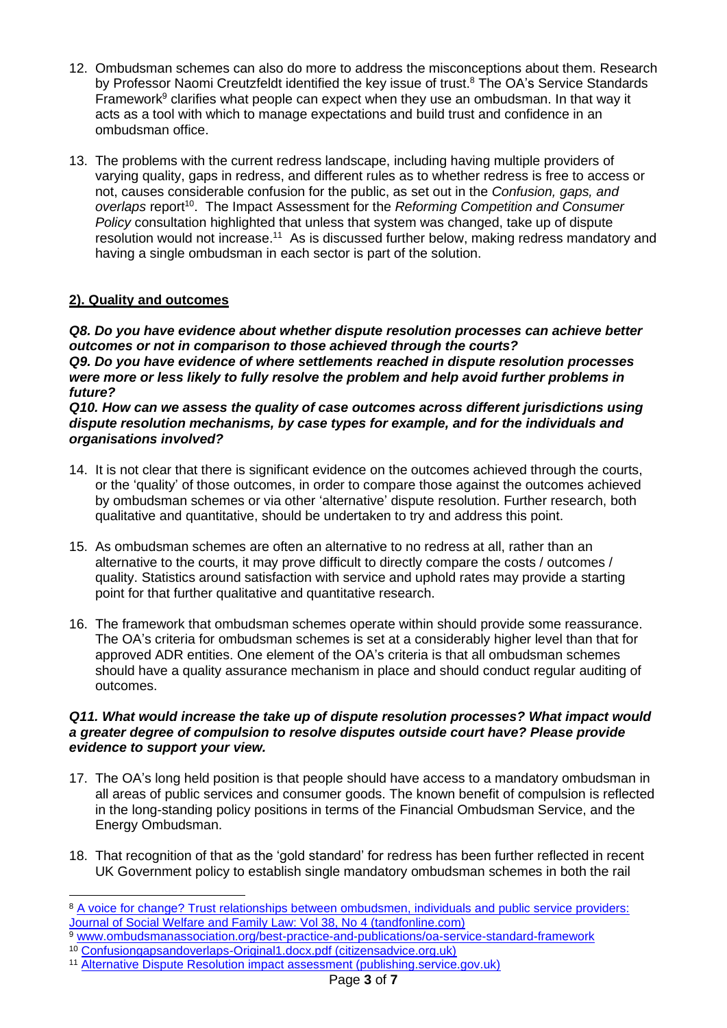- 12. Ombudsman schemes can also do more to address the misconceptions about them. Research by Professor Naomi Creutzfeldt identified the key issue of trust.<sup>8</sup> The OA's Service Standards Framework $9$  clarifies what people can expect when they use an ombudsman. In that way it acts as a tool with which to manage expectations and build trust and confidence in an ombudsman office.
- 13. The problems with the current redress landscape, including having multiple providers of varying quality, gaps in redress, and different rules as to whether redress is free to access or not, causes considerable confusion for the public, as set out in the *Confusion, gaps, and*  overlaps report<sup>10</sup>. The Impact Assessment for the *Reforming Competition and Consumer Policy* consultation highlighted that unless that system was changed, take up of dispute resolution would not increase.<sup>11</sup> As is discussed further below, making redress mandatory and having a single ombudsman in each sector is part of the solution.

# **2). Quality and outcomes**

*Q8. Do you have evidence about whether dispute resolution processes can achieve better outcomes or not in comparison to those achieved through the courts? Q9. Do you have evidence of where settlements reached in dispute resolution processes were more or less likely to fully resolve the problem and help avoid further problems in future?* 

*Q10. How can we assess the quality of case outcomes across different jurisdictions using dispute resolution mechanisms, by case types for example, and for the individuals and organisations involved?* 

- 14. It is not clear that there is significant evidence on the outcomes achieved through the courts, or the 'quality' of those outcomes, in order to compare those against the outcomes achieved by ombudsman schemes or via other 'alternative' dispute resolution. Further research, both qualitative and quantitative, should be undertaken to try and address this point.
- 15. As ombudsman schemes are often an alternative to no redress at all, rather than an alternative to the courts, it may prove difficult to directly compare the costs / outcomes / quality. Statistics around satisfaction with service and uphold rates may provide a starting point for that further qualitative and quantitative research.
- 16. The framework that ombudsman schemes operate within should provide some reassurance. The OA's criteria for ombudsman schemes is set at a considerably higher level than that for approved ADR entities. One element of the OA's criteria is that all ombudsman schemes should have a quality assurance mechanism in place and should conduct regular auditing of outcomes.

## *Q11. What would increase the take up of dispute resolution processes? What impact would a greater degree of compulsion to resolve disputes outside court have? Please provide evidence to support your view.*

- 17. The OA's long held position is that people should have access to a mandatory ombudsman in all areas of public services and consumer goods. The known benefit of compulsion is reflected in the long-standing policy positions in terms of the Financial Ombudsman Service, and the Energy Ombudsman.
- 18. That recognition of that as the 'gold standard' for redress has been further reflected in recent UK Government policy to establish single mandatory ombudsman schemes in both the rail

<sup>8</sup> [A voice for change? Trust relationships between ombudsmen, individuals and public service providers:](https://www.tandfonline.com/doi/abs/10.1080/09649069.2016.1239371)  [Journal of Social Welfare and Family Law: Vol 38, No 4 \(tandfonline.com\)](https://www.tandfonline.com/doi/abs/10.1080/09649069.2016.1239371)

<sup>9</sup> [www.ombudsmanassociation.org/best-practice-and-publications/oa-service-standard-framework](http://www.ombudsmanassociation.org/best-practice-and-publications/oa-service-standard-framework)

<sup>10</sup> [Confusiongapsandoverlaps-Original1.docx.pdf \(citizensadvice.org.uk\)](https://www.citizensadvice.org.uk/Global/CitizensAdvice/Consumer%20publications/Confusiongapsandoverlaps-Original1.docx.pdf)

<sup>11</sup> [Alternative Dispute Resolution impact assessment \(publishing.service.gov.uk\)](https://assets.publishing.service.gov.uk/government/uploads/system/uploads/attachment_data/file/1004037/rccp-alternative-dispute-resolution-ia.pdf)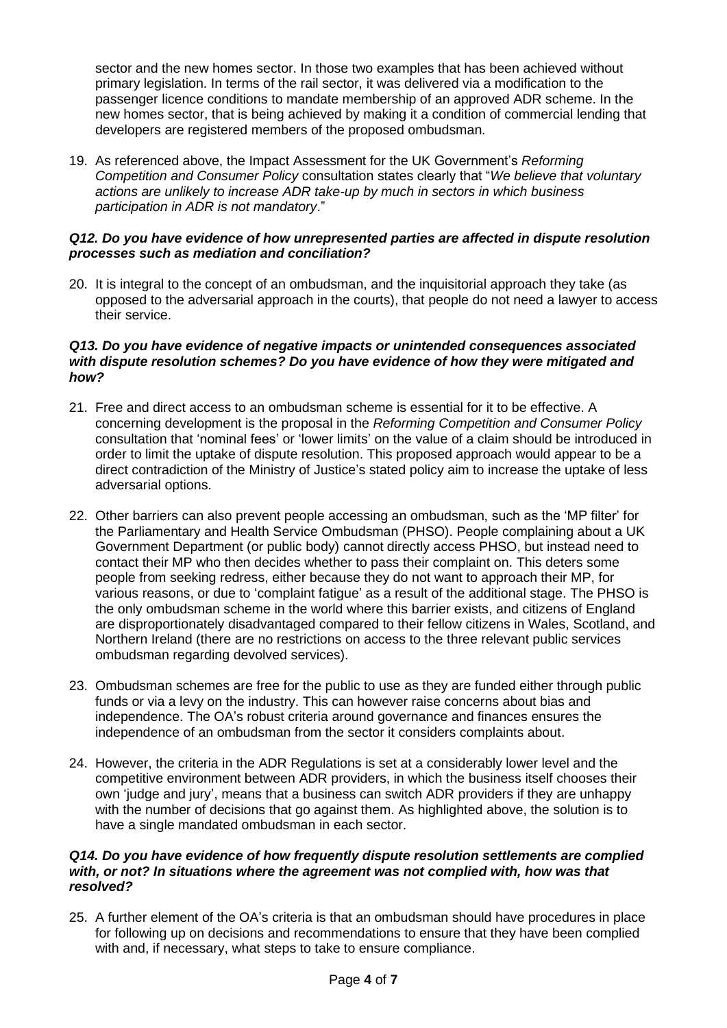sector and the new homes sector. In those two examples that has been achieved without primary legislation. In terms of the rail sector, it was delivered via a modification to the passenger licence conditions to mandate membership of an approved ADR scheme. In the new homes sector, that is being achieved by making it a condition of commercial lending that developers are registered members of the proposed ombudsman.

19. As referenced above, the Impact Assessment for the UK Government's *Reforming Competition and Consumer Policy* consultation states clearly that "*We believe that voluntary actions are unlikely to increase ADR take-up by much in sectors in which business participation in ADR is not mandatory*."

#### *Q12. Do you have evidence of how unrepresented parties are affected in dispute resolution processes such as mediation and conciliation?*

20. It is integral to the concept of an ombudsman, and the inquisitorial approach they take (as opposed to the adversarial approach in the courts), that people do not need a lawyer to access their service.

#### *Q13. Do you have evidence of negative impacts or unintended consequences associated with dispute resolution schemes? Do you have evidence of how they were mitigated and how?*

- 21. Free and direct access to an ombudsman scheme is essential for it to be effective. A concerning development is the proposal in the *Reforming Competition and Consumer Policy* consultation that 'nominal fees' or 'lower limits' on the value of a claim should be introduced in order to limit the uptake of dispute resolution. This proposed approach would appear to be a direct contradiction of the Ministry of Justice's stated policy aim to increase the uptake of less adversarial options.
- 22. Other barriers can also prevent people accessing an ombudsman, such as the 'MP filter' for the Parliamentary and Health Service Ombudsman (PHSO). People complaining about a UK Government Department (or public body) cannot directly access PHSO, but instead need to contact their MP who then decides whether to pass their complaint on. This deters some people from seeking redress, either because they do not want to approach their MP, for various reasons, or due to 'complaint fatigue' as a result of the additional stage. The PHSO is the only ombudsman scheme in the world where this barrier exists, and citizens of England are disproportionately disadvantaged compared to their fellow citizens in Wales, Scotland, and Northern Ireland (there are no restrictions on access to the three relevant public services ombudsman regarding devolved services).
- 23. Ombudsman schemes are free for the public to use as they are funded either through public funds or via a levy on the industry. This can however raise concerns about bias and independence. The OA's robust criteria around governance and finances ensures the independence of an ombudsman from the sector it considers complaints about.
- 24. However, the criteria in the ADR Regulations is set at a considerably lower level and the competitive environment between ADR providers, in which the business itself chooses their own 'judge and jury', means that a business can switch ADR providers if they are unhappy with the number of decisions that go against them. As highlighted above, the solution is to have a single mandated ombudsman in each sector.

#### *Q14. Do you have evidence of how frequently dispute resolution settlements are complied*  with, or not? In situations where the agreement was not complied with, how was that *resolved?*

25. A further element of the OA's criteria is that an ombudsman should have procedures in place for following up on decisions and recommendations to ensure that they have been complied with and, if necessary, what steps to take to ensure compliance.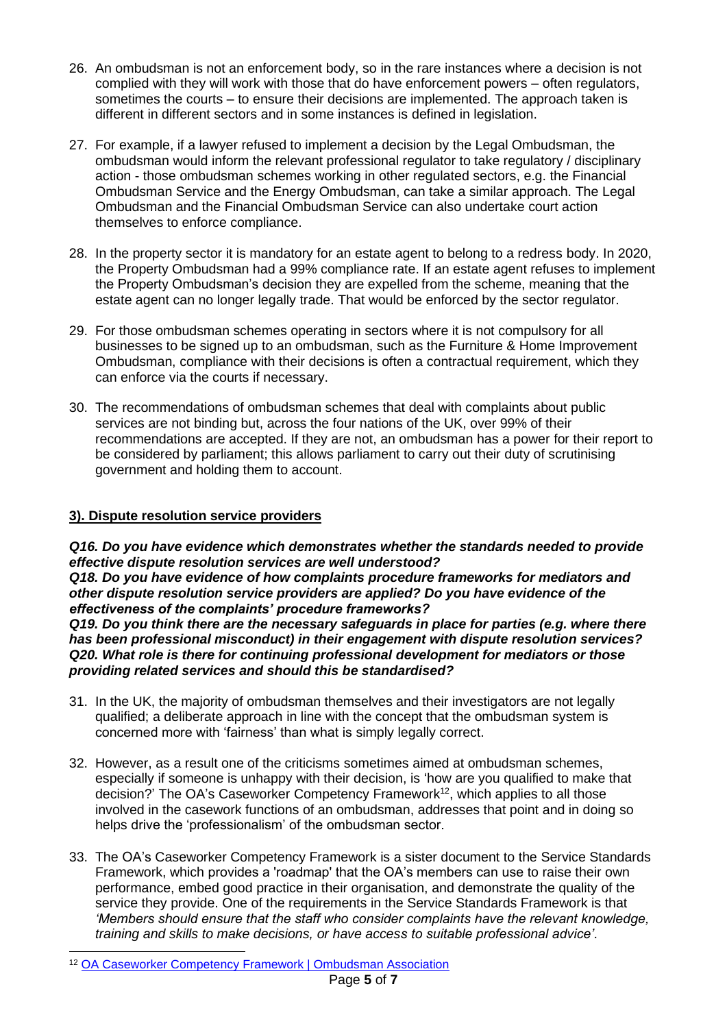- 26. An ombudsman is not an enforcement body, so in the rare instances where a decision is not complied with they will work with those that do have enforcement powers – often regulators, sometimes the courts – to ensure their decisions are implemented. The approach taken is different in different sectors and in some instances is defined in legislation.
- 27. For example, if a lawyer refused to implement a decision by the Legal Ombudsman, the ombudsman would inform the relevant professional regulator to take regulatory / disciplinary action - those ombudsman schemes working in other regulated sectors, e.g. the Financial Ombudsman Service and the Energy Ombudsman, can take a similar approach. The Legal Ombudsman and the Financial Ombudsman Service can also undertake court action themselves to enforce compliance.
- 28. In the property sector it is mandatory for an estate agent to belong to a redress body. In 2020, the Property Ombudsman had a 99% compliance rate. If an estate agent refuses to implement the Property Ombudsman's decision they are expelled from the scheme, meaning that the estate agent can no longer legally trade. That would be enforced by the sector regulator.
- 29. For those ombudsman schemes operating in sectors where it is not compulsory for all businesses to be signed up to an ombudsman, such as the Furniture & Home Improvement Ombudsman, compliance with their decisions is often a contractual requirement, which they can enforce via the courts if necessary.
- 30. The recommendations of ombudsman schemes that deal with complaints about public services are not binding but, across the four nations of the UK, over 99% of their recommendations are accepted. If they are not, an ombudsman has a power for their report to be considered by parliament; this allows parliament to carry out their duty of scrutinising government and holding them to account.

# **3). Dispute resolution service providers**

*Q16. Do you have evidence which demonstrates whether the standards needed to provide effective dispute resolution services are well understood? Q18. Do you have evidence of how complaints procedure frameworks for mediators and other dispute resolution service providers are applied? Do you have evidence of the effectiveness of the complaints' procedure frameworks?* 

*Q19. Do you think there are the necessary safeguards in place for parties (e.g. where there has been professional misconduct) in their engagement with dispute resolution services? Q20. What role is there for continuing professional development for mediators or those providing related services and should this be standardised?* 

- 31. In the UK, the majority of ombudsman themselves and their investigators are not legally qualified; a deliberate approach in line with the concept that the ombudsman system is concerned more with 'fairness' than what is simply legally correct.
- 32. However, as a result one of the criticisms sometimes aimed at ombudsman schemes, especially if someone is unhappy with their decision, is 'how are you qualified to make that decision?' The OA's Caseworker Competency Framework<sup>12</sup>, which applies to all those involved in the casework functions of an ombudsman, addresses that point and in doing so helps drive the 'professionalism' of the ombudsman sector.
- 33. The OA's Caseworker Competency Framework is a sister document to the Service Standards Framework, which provides a 'roadmap' that the OA's members can use to raise their own performance, embed good practice in their organisation, and demonstrate the quality of the service they provide. One of the requirements in the Service Standards Framework is that *'Members should ensure that the staff who consider complaints have the relevant knowledge, training and skills to make decisions, or have access to suitable professional advice'*.

<sup>12</sup> [OA Caseworker Competency Framework | Ombudsman Association](https://www.ombudsmanassociation.org/best-practice-and-publications/oa-caseworker-competency-framework)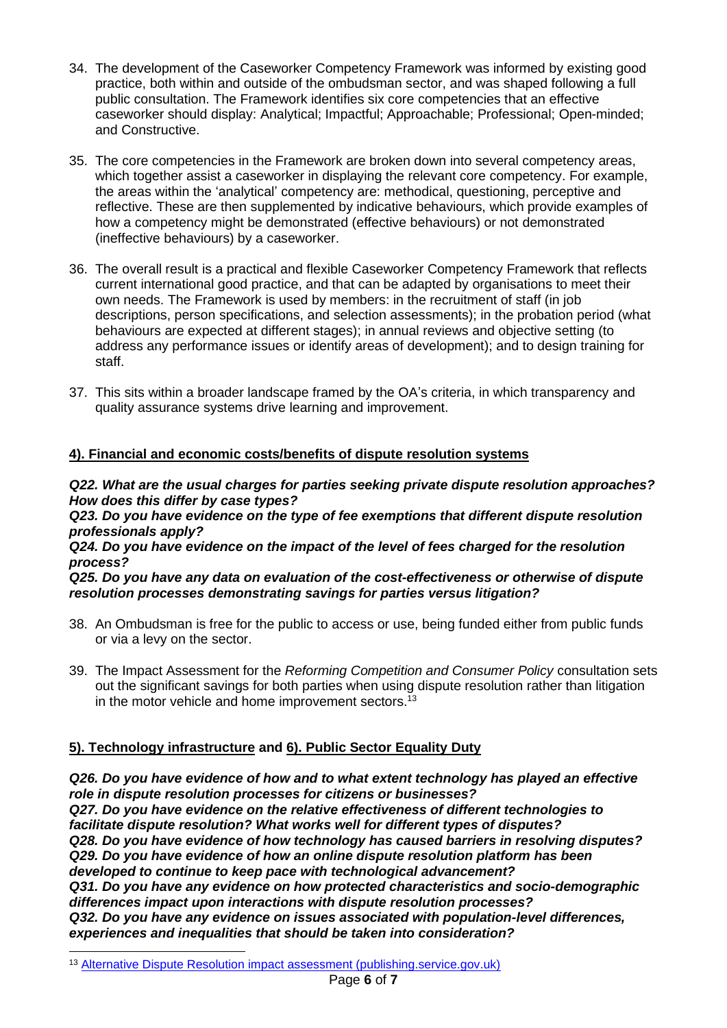- 34. The development of the Caseworker Competency Framework was informed by existing good practice, both within and outside of the ombudsman sector, and was shaped following a full public consultation. The Framework identifies six core competencies that an effective caseworker should display: Analytical; Impactful; Approachable; Professional; Open-minded; and Constructive.
- 35. The core competencies in the Framework are broken down into several competency areas, which together assist a caseworker in displaying the relevant core competency. For example, the areas within the 'analytical' competency are: methodical, questioning, perceptive and reflective. These are then supplemented by indicative behaviours, which provide examples of how a competency might be demonstrated (effective behaviours) or not demonstrated (ineffective behaviours) by a caseworker.
- 36. The overall result is a practical and flexible Caseworker Competency Framework that reflects current international good practice, and that can be adapted by organisations to meet their own needs. The Framework is used by members: in the recruitment of staff (in job descriptions, person specifications, and selection assessments); in the probation period (what behaviours are expected at different stages); in annual reviews and objective setting (to address any performance issues or identify areas of development); and to design training for staff.
- 37. This sits within a broader landscape framed by the OA's criteria, in which transparency and quality assurance systems drive learning and improvement.

# **4). Financial and economic costs/benefits of dispute resolution systems**

## *Q22. What are the usual charges for parties seeking private dispute resolution approaches? How does this differ by case types?*

*Q23. Do you have evidence on the type of fee exemptions that different dispute resolution professionals apply?* 

*Q24. Do you have evidence on the impact of the level of fees charged for the resolution process?* 

*Q25. Do you have any data on evaluation of the cost-effectiveness or otherwise of dispute resolution processes demonstrating savings for parties versus litigation?*

- 38. An Ombudsman is free for the public to access or use, being funded either from public funds or via a levy on the sector.
- 39. The Impact Assessment for the *Reforming Competition and Consumer Policy* consultation sets out the significant savings for both parties when using dispute resolution rather than litigation in the motor vehicle and home improvement sectors.<sup>13</sup>

# **5). Technology infrastructure and 6). Public Sector Equality Duty**

*Q26. Do you have evidence of how and to what extent technology has played an effective role in dispute resolution processes for citizens or businesses? Q27. Do you have evidence on the relative effectiveness of different technologies to facilitate dispute resolution? What works well for different types of disputes? Q28. Do you have evidence of how technology has caused barriers in resolving disputes? Q29. Do you have evidence of how an online dispute resolution platform has been developed to continue to keep pace with technological advancement? Q31. Do you have any evidence on how protected characteristics and socio-demographic differences impact upon interactions with dispute resolution processes? Q32. Do you have any evidence on issues associated with population-level differences, experiences and inequalities that should be taken into consideration?*

<sup>13</sup> [Alternative Dispute Resolution impact assessment \(publishing.service.gov.uk\)](https://assets.publishing.service.gov.uk/government/uploads/system/uploads/attachment_data/file/1004037/rccp-alternative-dispute-resolution-ia.pdf)